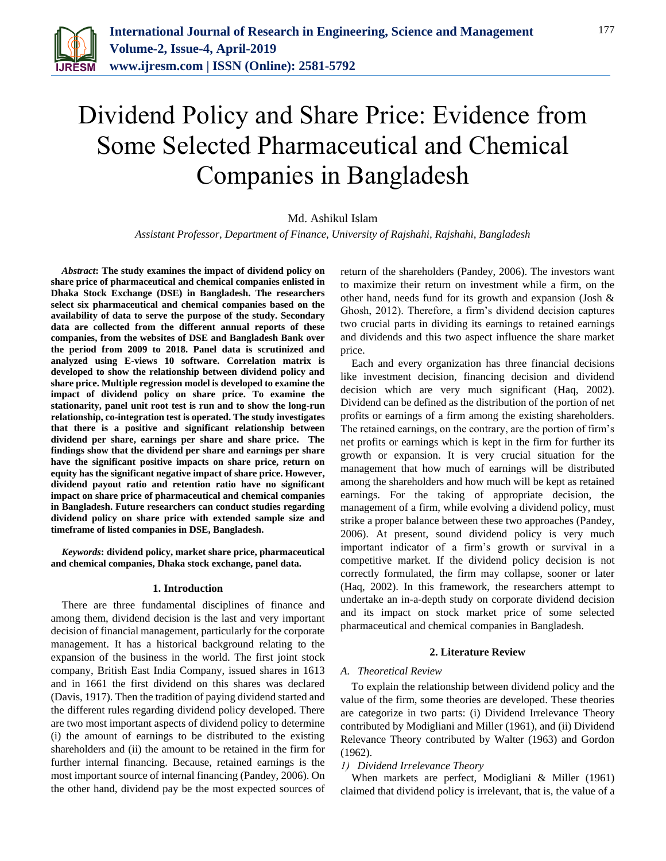

# Dividend Policy and Share Price: Evidence from Some Selected Pharmaceutical and Chemical Companies in Bangladesh

# Md. Ashikul Islam

*Assistant Professor, Department of Finance, University of Rajshahi, Rajshahi, Bangladesh*

*Abstract***: The study examines the impact of dividend policy on share price of pharmaceutical and chemical companies enlisted in Dhaka Stock Exchange (DSE) in Bangladesh. The researchers select six pharmaceutical and chemical companies based on the availability of data to serve the purpose of the study. Secondary data are collected from the different annual reports of these companies, from the websites of DSE and Bangladesh Bank over the period from 2009 to 2018. Panel data is scrutinized and analyzed using E-views 10 software. Correlation matrix is developed to show the relationship between dividend policy and share price. Multiple regression model is developed to examine the impact of dividend policy on share price. To examine the stationarity, panel unit root test is run and to show the long-run relationship, co-integration test is operated. The study investigates that there is a positive and significant relationship between dividend per share, earnings per share and share price. The findings show that the dividend per share and earnings per share have the significant positive impacts on share price, return on equity has the significant negative impact of share price. However, dividend payout ratio and retention ratio have no significant impact on share price of pharmaceutical and chemical companies in Bangladesh. Future researchers can conduct studies regarding dividend policy on share price with extended sample size and timeframe of listed companies in DSE, Bangladesh.**

*Keywords***: dividend policy, market share price, pharmaceutical and chemical companies, Dhaka stock exchange, panel data.**

#### **1. Introduction**

There are three fundamental disciplines of finance and among them, dividend decision is the last and very important decision of financial management, particularly for the corporate management. It has a historical background relating to the expansion of the business in the world. The first joint stock company, British East India Company, issued shares in 1613 and in 1661 the first dividend on this shares was declared (Davis, 1917). Then the tradition of paying dividend started and the different rules regarding dividend policy developed. There are two most important aspects of dividend policy to determine (i) the amount of earnings to be distributed to the existing shareholders and (ii) the amount to be retained in the firm for further internal financing. Because, retained earnings is the most important source of internal financing (Pandey, 2006). On the other hand, dividend pay be the most expected sources of return of the shareholders (Pandey, 2006). The investors want to maximize their return on investment while a firm, on the other hand, needs fund for its growth and expansion (Josh & Ghosh, 2012). Therefore, a firm's dividend decision captures two crucial parts in dividing its earnings to retained earnings and dividends and this two aspect influence the share market price.

Each and every organization has three financial decisions like investment decision, financing decision and dividend decision which are very much significant (Haq, 2002). Dividend can be defined as the distribution of the portion of net profits or earnings of a firm among the existing shareholders. The retained earnings, on the contrary, are the portion of firm's net profits or earnings which is kept in the firm for further its growth or expansion. It is very crucial situation for the management that how much of earnings will be distributed among the shareholders and how much will be kept as retained earnings. For the taking of appropriate decision, the management of a firm, while evolving a dividend policy, must strike a proper balance between these two approaches (Pandey, 2006). At present, sound dividend policy is very much important indicator of a firm's growth or survival in a competitive market. If the dividend policy decision is not correctly formulated, the firm may collapse, sooner or later (Haq, 2002). In this framework, the researchers attempt to undertake an in-a-depth study on corporate dividend decision and its impact on stock market price of some selected pharmaceutical and chemical companies in Bangladesh.

#### **2. Literature Review**

## *A. Theoretical Review*

To explain the relationship between dividend policy and the value of the firm, some theories are developed. These theories are categorize in two parts: (i) Dividend Irrelevance Theory contributed by Modigliani and Miller (1961), and (ii) Dividend Relevance Theory contributed by Walter (1963) and Gordon (1962).

## *1) Dividend Irrelevance Theory*

When markets are perfect, Modigliani & Miller (1961) claimed that dividend policy is irrelevant, that is, the value of a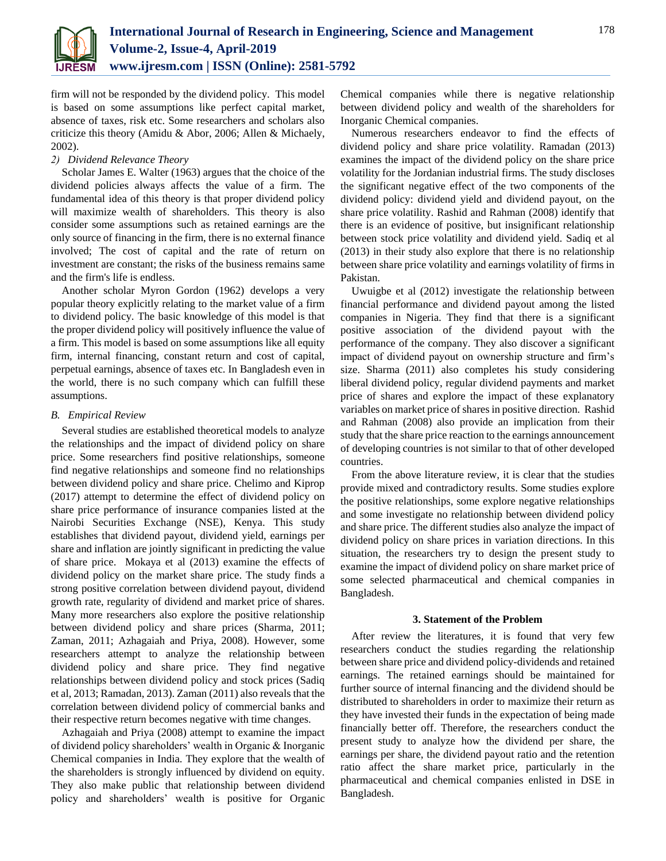

firm will not be responded by the dividend policy. This model is based on some assumptions like perfect capital market, absence of taxes, risk etc. Some researchers and scholars also criticize this theory (Amidu & Abor, 2006; Allen & Michaely, 2002).

# *2) Dividend Relevance Theory*

Scholar James E. Walter (1963) argues that the choice of the dividend policies always affects the value of a firm. The fundamental idea of this theory is that proper dividend policy will maximize wealth of shareholders. This theory is also consider some assumptions such as retained earnings are the only source of financing in the firm, there is no external finance involved; The cost of capital and the rate of return on investment are constant; the risks of the business remains same and the firm's life is endless.

Another scholar Myron Gordon (1962) develops a very popular theory explicitly relating to the market value of a firm to dividend policy. The basic knowledge of this model is that the proper dividend policy will positively influence the value of a firm. This model is based on some assumptions like all equity firm, internal financing, constant return and cost of capital, perpetual earnings, absence of taxes etc. In Bangladesh even in the world, there is no such company which can fulfill these assumptions.

# *B. Empirical Review*

Several studies are established theoretical models to analyze the relationships and the impact of dividend policy on share price. Some researchers find positive relationships, someone find negative relationships and someone find no relationships between dividend policy and share price. Chelimo and Kiprop (2017) attempt to determine the effect of dividend policy on share price performance of insurance companies listed at the Nairobi Securities Exchange (NSE), Kenya. This study establishes that dividend payout, dividend yield, earnings per share and inflation are jointly significant in predicting the value of share price. Mokaya et al (2013) examine the effects of dividend policy on the market share price. The study finds a strong positive correlation between dividend payout, dividend growth rate, regularity of dividend and market price of shares. Many more researchers also explore the positive relationship between dividend policy and share prices (Sharma, 2011; Zaman, 2011; Azhagaiah and Priya, 2008). However, some researchers attempt to analyze the relationship between dividend policy and share price. They find negative relationships between dividend policy and stock prices (Sadiq et al, 2013; Ramadan, 2013). Zaman (2011) also reveals that the correlation between dividend policy of commercial banks and their respective return becomes negative with time changes.

Azhagaiah and Priya (2008) attempt to examine the impact of dividend policy shareholders' wealth in Organic & Inorganic Chemical companies in India. They explore that the wealth of the shareholders is strongly influenced by dividend on equity. They also make public that relationship between dividend policy and shareholders' wealth is positive for Organic Chemical companies while there is negative relationship between dividend policy and wealth of the shareholders for Inorganic Chemical companies.

Numerous researchers endeavor to find the effects of dividend policy and share price volatility. Ramadan (2013) examines the impact of the dividend policy on the share price volatility for the Jordanian industrial firms. The study discloses the significant negative effect of the two components of the dividend policy: dividend yield and dividend payout, on the share price volatility. Rashid and Rahman (2008) identify that there is an evidence of positive, but insignificant relationship between stock price volatility and dividend yield. Sadiq et al (2013) in their study also explore that there is no relationship between share price volatility and earnings volatility of firms in Pakistan.

Uwuigbe et al (2012) investigate the relationship between financial performance and dividend payout among the listed companies in Nigeria. They find that there is a significant positive association of the dividend payout with the performance of the company. They also discover a significant impact of dividend payout on ownership structure and firm's size. Sharma (2011) also completes his study considering liberal dividend policy, regular dividend payments and market price of shares and explore the impact of these explanatory variables on market price of shares in positive direction. Rashid and Rahman (2008) also provide an implication from their study that the share price reaction to the earnings announcement of developing countries is not similar to that of other developed countries.

From the above literature review, it is clear that the studies provide mixed and contradictory results. Some studies explore the positive relationships, some explore negative relationships and some investigate no relationship between dividend policy and share price. The different studies also analyze the impact of dividend policy on share prices in variation directions. In this situation, the researchers try to design the present study to examine the impact of dividend policy on share market price of some selected pharmaceutical and chemical companies in Bangladesh.

# **3. Statement of the Problem**

After review the literatures, it is found that very few researchers conduct the studies regarding the relationship between share price and dividend policy-dividends and retained earnings. The retained earnings should be maintained for further source of internal financing and the dividend should be distributed to shareholders in order to maximize their return as they have invested their funds in the expectation of being made financially better off. Therefore, the researchers conduct the present study to analyze how the dividend per share, the earnings per share, the dividend payout ratio and the retention ratio affect the share market price, particularly in the pharmaceutical and chemical companies enlisted in DSE in Bangladesh.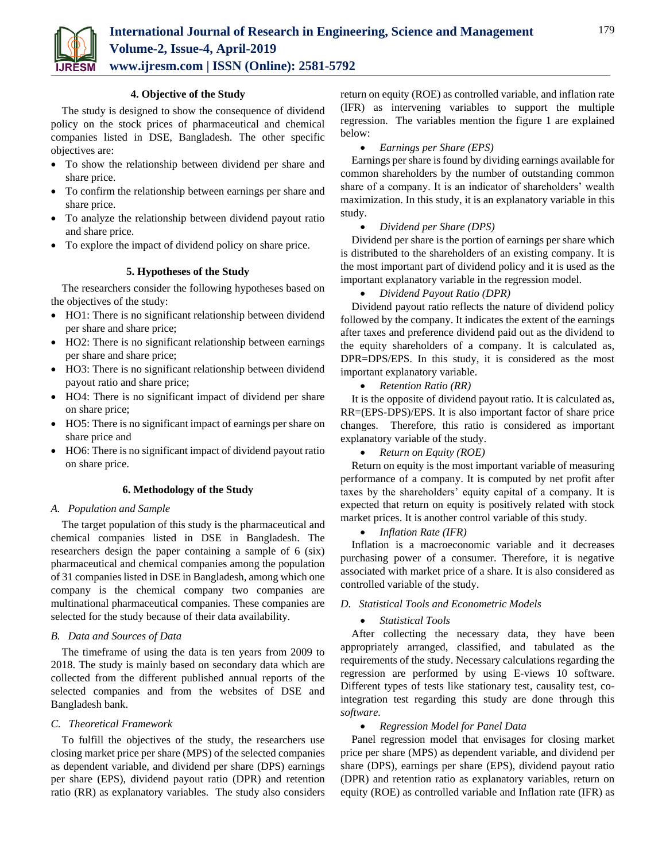

## **4. Objective of the Study**

The study is designed to show the consequence of dividend policy on the stock prices of pharmaceutical and chemical companies listed in DSE, Bangladesh. The other specific objectives are:

- To show the relationship between dividend per share and share price.
- To confirm the relationship between earnings per share and share price.
- To analyze the relationship between dividend payout ratio and share price.
- To explore the impact of dividend policy on share price.

# **5. Hypotheses of the Study**

The researchers consider the following hypotheses based on the objectives of the study:

- HO1: There is no significant relationship between dividend per share and share price;
- HO2: There is no significant relationship between earnings per share and share price;
- HO3: There is no significant relationship between dividend payout ratio and share price;
- HO4: There is no significant impact of dividend per share on share price;
- HO5: There is no significant impact of earnings per share on share price and
- HO6: There is no significant impact of dividend payout ratio on share price.

## **6. Methodology of the Study**

## *A. Population and Sample*

The target population of this study is the pharmaceutical and chemical companies listed in DSE in Bangladesh. The researchers design the paper containing a sample of 6 (six) pharmaceutical and chemical companies among the population of 31 companies listed in DSE in Bangladesh, among which one company is the chemical company two companies are multinational pharmaceutical companies. These companies are selected for the study because of their data availability.

# *B. Data and Sources of Data*

The timeframe of using the data is ten years from 2009 to 2018. The study is mainly based on secondary data which are collected from the different published annual reports of the selected companies and from the websites of DSE and Bangladesh bank.

## *C. Theoretical Framework*

To fulfill the objectives of the study, the researchers use closing market price per share (MPS) of the selected companies as dependent variable, and dividend per share (DPS) earnings per share (EPS), dividend payout ratio (DPR) and retention ratio (RR) as explanatory variables. The study also considers

return on equity (ROE) as controlled variable, and inflation rate (IFR) as intervening variables to support the multiple regression. The variables mention the figure 1 are explained below:

#### *Earnings per Share (EPS)*

Earnings per share is found by dividing earnings available for common shareholders by the number of outstanding common share of a company. It is an indicator of shareholders' wealth maximization. In this study, it is an explanatory variable in this study.

# *Dividend per Share (DPS)*

Dividend per share is the portion of earnings per share which is distributed to the shareholders of an existing company. It is the most important part of dividend policy and it is used as the important explanatory variable in the regression model.

# *Dividend Payout Ratio (DPR)*

Dividend payout ratio reflects the nature of dividend policy followed by the company. It indicates the extent of the earnings after taxes and preference dividend paid out as the dividend to the equity shareholders of a company. It is calculated as, DPR=DPS/EPS. In this study, it is considered as the most important explanatory variable.

*Retention Ratio (RR)*

It is the opposite of dividend payout ratio. It is calculated as, RR=(EPS-DPS)/EPS. It is also important factor of share price changes. Therefore, this ratio is considered as important explanatory variable of the study.

## *Return on Equity (ROE)*

Return on equity is the most important variable of measuring performance of a company. It is computed by net profit after taxes by the shareholders' equity capital of a company. It is expected that return on equity is positively related with stock market prices. It is another control variable of this study.

#### *Inflation Rate (IFR)*

Inflation is a macroeconomic variable and it decreases purchasing power of a consumer. Therefore, it is negative associated with market price of a share. It is also considered as controlled variable of the study.

## *D. Statistical Tools and Econometric Models*

# *Statistical Tools*

After collecting the necessary data, they have been appropriately arranged, classified, and tabulated as the requirements of the study. Necessary calculations regarding the regression are performed by using E-views 10 software. Different types of tests like stationary test, causality test, cointegration test regarding this study are done through this *software.*

#### *Regression Model for Panel Data*

Panel regression model that envisages for closing market price per share (MPS) as dependent variable, and dividend per share (DPS), earnings per share (EPS), dividend payout ratio (DPR) and retention ratio as explanatory variables, return on equity (ROE) as controlled variable and Inflation rate (IFR) as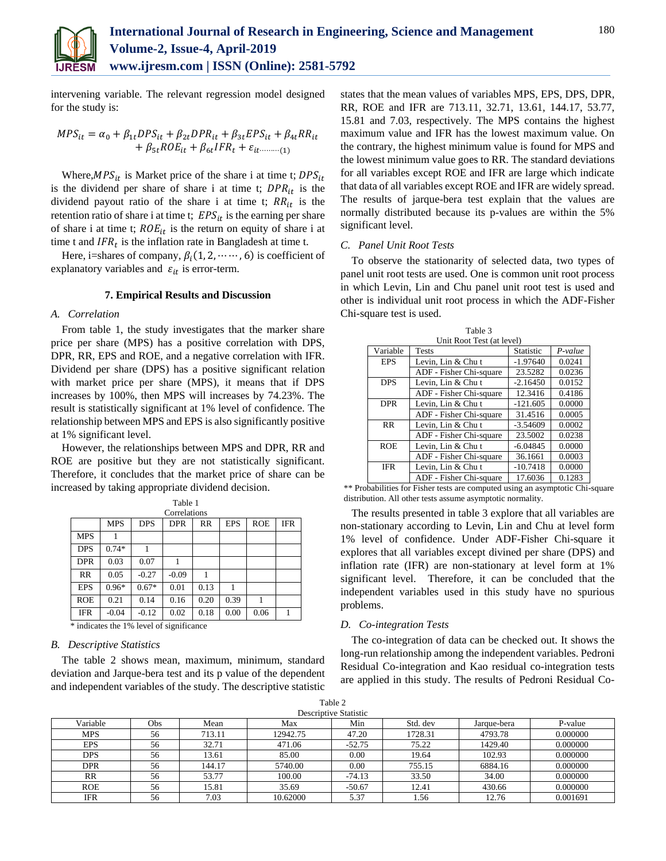

intervening variable. The relevant regression model designed for the study is:

$$
MPS_{it} = \alpha_0 + \beta_{1t} DPS_{it} + \beta_{2t} DPR_{it} + \beta_{3t} EPS_{it} + \beta_{4t} RR_{it}
$$
  
+  $\beta_{5t} ROE_{it} + \beta_{6t} IFR_t + \varepsilon_{it}$ ........(1)

Where,  $MPS_{it}$  is Market price of the share i at time t;  $DPS_{it}$ is the dividend per share of share i at time t;  $DPR_{it}$  is the dividend payout ratio of the share i at time t;  $RR_{it}$  is the retention ratio of share i at time t;  $EPS<sub>it</sub>$  is the earning per share of share i at time t;  $ROE_{it}$  is the return on equity of share i at time t and  $IFR_t$  is the inflation rate in Bangladesh at time t.

Here, i=shares of company,  $\beta_i(1, 2, \dots, 6)$  is coefficient of explanatory variables and  $\varepsilon_{it}$  is error-term.

#### **7. Empirical Results and Discussion**

#### *A. Correlation*

From table 1, the study investigates that the marker share price per share (MPS) has a positive correlation with DPS, DPR, RR, EPS and ROE, and a negative correlation with IFR. Dividend per share (DPS) has a positive significant relation with market price per share (MPS), it means that if DPS increases by 100%, then MPS will increases by 74.23%. The result is statistically significant at 1% level of confidence. The relationship between MPS and EPS is also significantly positive at 1% significant level.

However, the relationships between MPS and DPR, RR and ROE are positive but they are not statistically significant. Therefore, it concludes that the market price of share can be increased by taking appropriate dividend decision.

Table 1

| Correlations                             |            |            |            |      |            |            |              |
|------------------------------------------|------------|------------|------------|------|------------|------------|--------------|
|                                          | <b>MPS</b> | <b>DPS</b> | <b>DPR</b> | RR   | <b>EPS</b> | <b>ROE</b> | <b>IFR</b>   |
| <b>MPS</b>                               |            |            |            |      |            |            |              |
| <b>DPS</b>                               | $0.74*$    |            |            |      |            |            |              |
| <b>DPR</b>                               | 0.03       | 0.07       |            |      |            |            |              |
| <b>RR</b>                                | 0.05       | $-0.27$    | $-0.09$    |      |            |            |              |
| <b>EPS</b>                               | $0.96*$    | $0.67*$    | 0.01       | 0.13 |            |            |              |
| <b>ROE</b>                               | 0.21       | 0.14       | 0.16       | 0.20 | 0.39       |            |              |
| <b>IFR</b>                               | $-0.04$    | $-0.12$    | 0.02       | 0.18 | 0.00       | 0.06       | $\mathbf{1}$ |
| * indicates the 1% level of significance |            |            |            |      |            |            |              |

## *B. Descriptive Statistics*

The table 2 shows mean, maximum, minimum, standard deviation and Jarque-bera test and its p value of the dependent and independent variables of the study. The descriptive statistic

states that the mean values of variables MPS, EPS, DPS, DPR, RR, ROE and IFR are 713.11, 32.71, 13.61, 144.17, 53.77, 15.81 and 7.03, respectively. The MPS contains the highest maximum value and IFR has the lowest maximum value. On the contrary, the highest minimum value is found for MPS and the lowest minimum value goes to RR. The standard deviations for all variables except ROE and IFR are large which indicate that data of all variables except ROE and IFR are widely spread. The results of jarque-bera test explain that the values are normally distributed because its p-values are within the 5% significant level.

## *C. Panel Unit Root Tests*

To observe the stationarity of selected data, two types of panel unit root tests are used. One is common unit root process in which Levin, Lin and Chu panel unit root test is used and other is individual unit root process in which the ADF-Fisher Chi-square test is used.

| Table 3                   |                         |                  |           |  |  |
|---------------------------|-------------------------|------------------|-----------|--|--|
| Unit Root Test (at level) |                         |                  |           |  |  |
| Variable                  | <b>Tests</b>            | <b>Statistic</b> | $P-value$ |  |  |
| <b>EPS</b>                | Levin, Lin & Chu t      | $-1.97640$       | 0.0241    |  |  |
|                           | ADF - Fisher Chi-square | 23.5282          | 0.0236    |  |  |
| <b>DPS</b>                | Levin, Lin & Chu t      | $-2.16450$       | 0.0152    |  |  |
|                           | ADF - Fisher Chi-square | 12.3416          | 0.4186    |  |  |
| <b>DPR</b>                | Levin, Lin & Chu t      | $-121.605$       | 0.0000    |  |  |
|                           | ADF - Fisher Chi-square | 31.4516          | 0.0005    |  |  |
| <b>RR</b>                 | Levin, Lin & Chu t      | $-3.54609$       | 0.0002    |  |  |
|                           | ADF - Fisher Chi-square | 23.5002          | 0.0238    |  |  |
| <b>ROE</b>                | Levin, Lin & Chu t      | $-6.04845$       | 0.0000    |  |  |
|                           | ADF - Fisher Chi-square | 36.1661          | 0.0003    |  |  |
| <b>IFR</b>                | Levin, Lin & Chu t      | $-10.7418$       | 0.0000    |  |  |
|                           | ADF - Fisher Chi-square | 17.6036          | 0.1283    |  |  |

\*\* Probabilities for Fisher tests are computed using an asymptotic Chi-square distribution. All other tests assume asymptotic normality.

The results presented in table 3 explore that all variables are non-stationary according to Levin, Lin and Chu at level form 1% level of confidence. Under ADF-Fisher Chi-square it explores that all variables except divined per share (DPS) and inflation rate (IFR) are non-stationary at level form at 1% significant level. Therefore, it can be concluded that the independent variables used in this study have no spurious problems.

#### *D. Co-integration Tests*

The co-integration of data can be checked out. It shows the long-run relationship among the independent variables. Pedroni Residual Co-integration and Kao residual co-integration tests are applied in this study. The results of Pedroni Residual Co-

| Table 2               |  |  |  |  |
|-----------------------|--|--|--|--|
| Descriptive Statistic |  |  |  |  |

| Descriptive Statistic |     |        |          |          |          |             |          |
|-----------------------|-----|--------|----------|----------|----------|-------------|----------|
| Variable              | Obs | Mean   | Max      | Min      | Std. dev | Jarque-bera | P-value  |
| MPS                   | 56  | 713.11 | 12942.75 | 47.20    | 1728.31  | 4793.78     | 0.000000 |
| <b>EPS</b>            | 56  | 32.71  | 471.06   | $-52.75$ | 75.22    | 1429.40     | 0.000000 |
| <b>DPS</b>            | 56  | 13.61  | 85.00    | 0.00     | 19.64    | 102.93      | 0.000000 |
| DPR                   | 56  | 144.17 | 5740.00  | 0.00     | 755.15   | 6884.16     | 0.000000 |
| <b>RR</b>             | 56  | 53.77  | 100.00   | $-74.13$ | 33.50    | 34.00       | 0.000000 |
| <b>ROE</b>            | 56  | 15.81  | 35.69    | $-50.67$ | 12.41    | 430.66      | 0.000000 |
| <b>IFR</b>            | 56  | 7.03   | 10.62000 | 5.37     | . 56     | 12.76       | 0.001691 |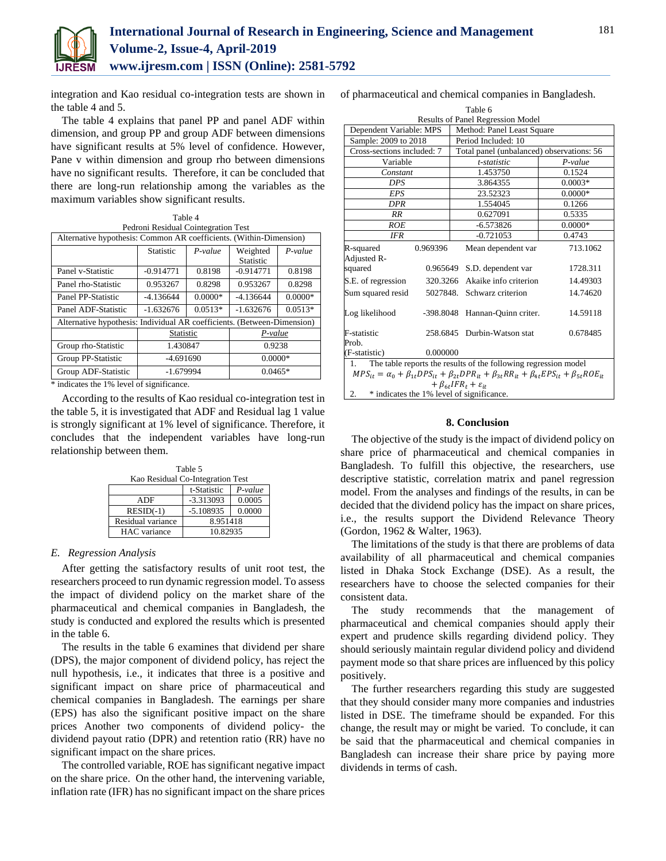

integration and Kao residual co-integration tests are shown in the table 4 and 5.

The table 4 explains that panel PP and panel ADF within dimension, and group PP and group ADF between dimensions have significant results at 5% level of confidence. However, Pane v within dimension and group rho between dimensions have no significant results. Therefore, it can be concluded that there are long-run relationship among the variables as the maximum variables show significant results.

| Table 4<br>Pedroni Residual Cointegration Test                          |                  |           |                              |           |  |
|-------------------------------------------------------------------------|------------------|-----------|------------------------------|-----------|--|
| Alternative hypothesis: Common AR coefficients. (Within-Dimension)      |                  |           |                              |           |  |
|                                                                         | <b>Statistic</b> | $P-value$ | Weighted<br><b>Statistic</b> | $P-value$ |  |
| Panel v-Statistic                                                       | $-0.914771$      | 0.8198    | $-0.914771$                  | 0.8198    |  |
| Panel rho-Statistic                                                     | 0.953267         | 0.8298    | 0.953267                     | 0.8298    |  |
| Panel PP-Statistic                                                      | $-4.136644$      | $0.0000*$ | $-4.136644$                  | $0.0000*$ |  |
| Panel ADF-Statistic                                                     | $-1.632676$      | $0.0513*$ | $-1.632676$                  | $0.0513*$ |  |
| Alternative hypothesis: Individual AR coefficients. (Between-Dimension) |                  |           |                              |           |  |
|                                                                         | Statistic        |           | P-value                      |           |  |
| Group rho-Statistic                                                     | 1.430847         |           | 0.9238                       |           |  |
| Group PP-Statistic                                                      | -4.691690        |           | $0.0000*$                    |           |  |
| Group ADF-Statistic                                                     | $-1.679994$      |           |                              | $0.0465*$ |  |

\* indicates the 1% level of significance.

According to the results of Kao residual co-integration test in the table 5, it is investigated that ADF and Residual lag 1 value is strongly significant at 1% level of significance. Therefore, it concludes that the independent variables have long-run relationship between them.

| Table 5                          |             |        |  |  |
|----------------------------------|-------------|--------|--|--|
| Kao Residual Co-Integration Test |             |        |  |  |
| t-Statistic<br>$P-value$         |             |        |  |  |
| ADF                              | $-3.313093$ | 0.0005 |  |  |
| $RESID(-1)$                      | $-5.108935$ | 0.0000 |  |  |
| Residual variance                | 8.951418    |        |  |  |
| HAC variance                     | 10.82935    |        |  |  |

# *E. Regression Analysis*

After getting the satisfactory results of unit root test, the researchers proceed to run dynamic regression model. To assess the impact of dividend policy on the market share of the pharmaceutical and chemical companies in Bangladesh, the study is conducted and explored the results which is presented in the table 6.

The results in the table 6 examines that dividend per share (DPS), the major component of dividend policy, has reject the null hypothesis, i.e., it indicates that three is a positive and significant impact on share price of pharmaceutical and chemical companies in Bangladesh. The earnings per share (EPS) has also the significant positive impact on the share prices Another two components of dividend policy- the dividend payout ratio (DPR) and retention ratio (RR) have no significant impact on the share prices.

The controlled variable, ROE has significant negative impact on the share price. On the other hand, the intervening variable, inflation rate (IFR) has no significant impact on the share prices

of pharmaceutical and chemical companies in Bangladesh.

| Table 6                                                                                                                       |                       |                                           |  |  |  |  |
|-------------------------------------------------------------------------------------------------------------------------------|-----------------------|-------------------------------------------|--|--|--|--|
| Results of Panel Regression Model                                                                                             |                       |                                           |  |  |  |  |
| Dependent Variable: MPS                                                                                                       |                       | Method: Panel Least Square                |  |  |  |  |
| Sample: 2009 to 2018                                                                                                          | Period Included: 10   |                                           |  |  |  |  |
| Cross-sections included: 7                                                                                                    |                       | Total panel (unbalanced) observations: 56 |  |  |  |  |
| Variable                                                                                                                      | t-statistic           | $P-value$                                 |  |  |  |  |
| Constant                                                                                                                      | 1.453750              | 0.1524                                    |  |  |  |  |
| DPS                                                                                                                           | 3.864355              | $0.0003*$                                 |  |  |  |  |
| EPS                                                                                                                           | 23.52323              | $0.0000*$                                 |  |  |  |  |
| DPR                                                                                                                           | 1.554045              | 0.1266                                    |  |  |  |  |
| RR                                                                                                                            | 0.627091              | 0.5335                                    |  |  |  |  |
| ROE                                                                                                                           | $-6.573826$           | $0.0000*$                                 |  |  |  |  |
| <b>IFR</b>                                                                                                                    | $-0.721053$           | 0.4743                                    |  |  |  |  |
| R-squared<br>0.969396                                                                                                         | Mean dependent var    | 713.1062                                  |  |  |  |  |
| Adjusted R-                                                                                                                   |                       |                                           |  |  |  |  |
| 0.965649<br>squared                                                                                                           | S.D. dependent var    | 1728.311                                  |  |  |  |  |
| S.E. of regression<br>320.3266                                                                                                | Akaike info criterion | 14.49303                                  |  |  |  |  |
| Sum squared resid<br>5027848.                                                                                                 | Schwarz criterion     | 14.74620                                  |  |  |  |  |
| Log likelihood<br>-398.8048                                                                                                   | Hannan-Quinn criter.  | 14.59118                                  |  |  |  |  |
| F-statistic<br>258.6845                                                                                                       | Durbin-Watson stat    | 0.678485                                  |  |  |  |  |
| Prob.                                                                                                                         |                       |                                           |  |  |  |  |
| 0.000000<br>(F-statistic)                                                                                                     |                       |                                           |  |  |  |  |
| The table reports the results of the following regression model<br>1.                                                         |                       |                                           |  |  |  |  |
| $MPS_{it} = \alpha_0 + \beta_{1t}DPS_{it} + \beta_{2t}DPR_{it} + \beta_{3t}RR_{it} + \beta_{4t}EPS_{it} + \beta_{5t}ROE_{it}$ |                       |                                           |  |  |  |  |
| $+ \beta_{\epsilon t} IFR_t + \varepsilon_{it}$                                                                               |                       |                                           |  |  |  |  |
| 2.<br>* indicates the 1% level of significance.                                                                               |                       |                                           |  |  |  |  |

## **8. Conclusion**

The objective of the study is the impact of dividend policy on share price of pharmaceutical and chemical companies in Bangladesh. To fulfill this objective, the researchers, use descriptive statistic, correlation matrix and panel regression model. From the analyses and findings of the results, in can be decided that the dividend policy has the impact on share prices, i.e., the results support the Dividend Relevance Theory (Gordon, 1962 & Walter, 1963).

The limitations of the study is that there are problems of data availability of all pharmaceutical and chemical companies listed in Dhaka Stock Exchange (DSE). As a result, the researchers have to choose the selected companies for their consistent data.

The study recommends that the management of pharmaceutical and chemical companies should apply their expert and prudence skills regarding dividend policy. They should seriously maintain regular dividend policy and dividend payment mode so that share prices are influenced by this policy positively.

The further researchers regarding this study are suggested that they should consider many more companies and industries listed in DSE. The timeframe should be expanded. For this change, the result may or might be varied. To conclude, it can be said that the pharmaceutical and chemical companies in Bangladesh can increase their share price by paying more dividends in terms of cash.